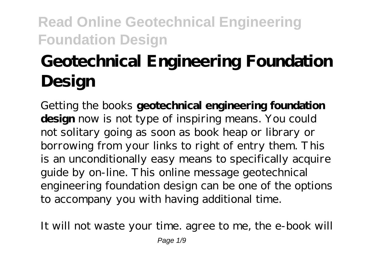# **Geotechnical Engineering Foundation Design**

Getting the books **geotechnical engineering foundation design** now is not type of inspiring means. You could not solitary going as soon as book heap or library or borrowing from your links to right of entry them. This is an unconditionally easy means to specifically acquire guide by on-line. This online message geotechnical engineering foundation design can be one of the options to accompany you with having additional time.

It will not waste your time. agree to me, the e-book will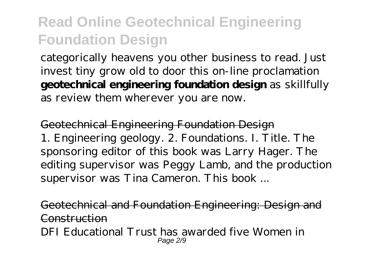categorically heavens you other business to read. Just invest tiny grow old to door this on-line proclamation **geotechnical engineering foundation design** as skillfully as review them wherever you are now.

Geotechnical Engineering Foundation Design 1. Engineering geology. 2. Foundations. I. Title. The sponsoring editor of this book was Larry Hager. The editing supervisor was Peggy Lamb, and the production supervisor was Tina Cameron. This book ...

Geotechnical and Foundation Engineering: Design and Construction DFI Educational Trust has awarded five Women in Page 2/9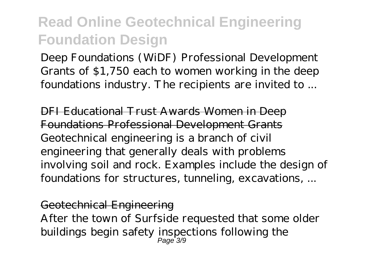Deep Foundations (WiDF) Professional Development Grants of \$1,750 each to women working in the deep foundations industry. The recipients are invited to ...

DFI Educational Trust Awards Women in Deep Foundations Professional Development Grants Geotechnical engineering is a branch of civil engineering that generally deals with problems involving soil and rock. Examples include the design of foundations for structures, tunneling, excavations, ...

#### Geotechnical Engineering

After the town of Surfside requested that some older buildings begin safety inspections following the Page<sup>+</sup>3/9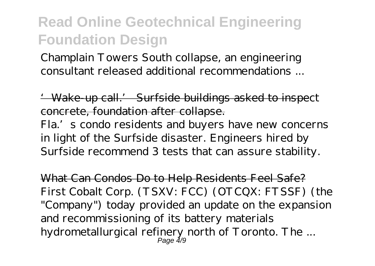Champlain Towers South collapse, an engineering consultant released additional recommendations ...

'Wake-up call.' Surfside buildings asked to inspect concrete, foundation after collapse.

Fla.'s condo residents and buyers have new concerns in light of the Surfside disaster. Engineers hired by Surfside recommend 3 tests that can assure stability.

What Can Condos Do to Help Residents Feel Safe? First Cobalt Corp. (TSXV: FCC) (OTCQX: FTSSF) (the "Company") today provided an update on the expansion and recommissioning of its battery materials hydrometallurgical refinery north of Toronto. The ... Page 4/9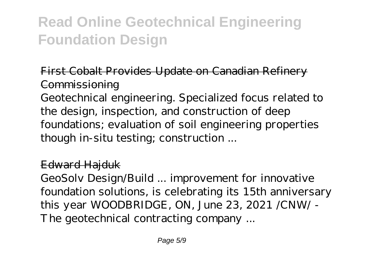#### First Cobalt Provides Update on Canadian Refinery **Commissioning**

Geotechnical engineering. Specialized focus related to the design, inspection, and construction of deep foundations; evaluation of soil engineering properties though in-situ testing; construction ...

#### Edward Hajduk

GeoSolv Design/Build ... improvement for innovative foundation solutions, is celebrating its 15th anniversary this year WOODBRIDGE, ON, June 23, 2021 /CNW/ - The geotechnical contracting company ...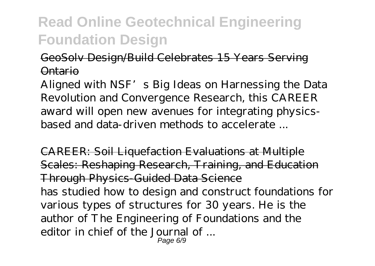#### GeoSolv Design/Build Celebrates 15 Years Serving Ontario

Aligned with NSF's Big Ideas on Harnessing the Data Revolution and Convergence Research, this CAREER award will open new avenues for integrating physicsbased and data-driven methods to accelerate ...

CAREER: Soil Liquefaction Evaluations at Multiple Scales: Reshaping Research, Training, and Education Through Physics-Guided Data Science has studied how to design and construct foundations for various types of structures for 30 years. He is the author of The Engineering of Foundations and the editor in chief of the Journal of ... Page 6/9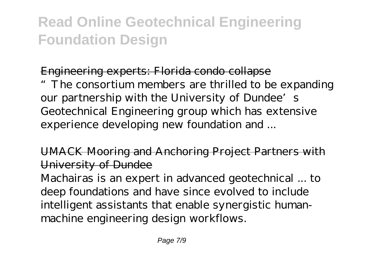#### Engineering experts: Florida condo collapse

"The consortium members are thrilled to be expanding our partnership with the University of Dundee's Geotechnical Engineering group which has extensive experience developing new foundation and ...

UMACK Mooring and Anchoring Project Partners with University of Dundee

Machairas is an expert in advanced geotechnical ... to deep foundations and have since evolved to include intelligent assistants that enable synergistic humanmachine engineering design workflows.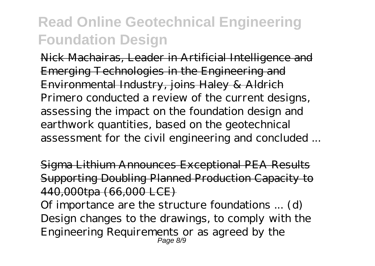Nick Machairas, Leader in Artificial Intelligence and Emerging Technologies in the Engineering and Environmental Industry, joins Haley & Aldrich Primero conducted a review of the current designs, assessing the impact on the foundation design and earthwork quantities, based on the geotechnical assessment for the civil engineering and concluded ...

Sigma Lithium Announces Exceptional PEA Results Supporting Doubling Planned Production Capacity to 440,000tpa (66,000 LCE)

Of importance are the structure foundations ... (d) Design changes to the drawings, to comply with the Engineering Requirements or as agreed by the Page 8/9